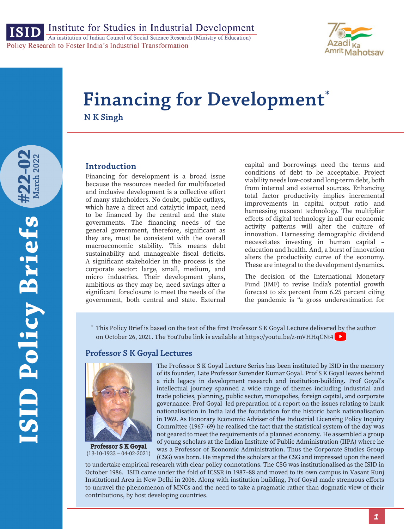

An institution of Indian Council of Social Science Research (Ministry of Education) Policy Research to Foster India's Industrial Transformation



# **Financing for Development<sup>\*</sup> N K Singh**

# **Introduction**

Financing for development is a broad issue because the resources needed for multifaceted and inclusive development is a collective effort of many stakeholders. No doubt, public outlays, which have a direct and catalytic impact, need to be financed by the central and the state governments. The financing needs of the general government, therefore, significant as they are, must be consistent with the overall macroeconomic stability. This means debt sustainability and manageable fiscal deficits. A significant stakeholder in the process is the corporate sector: large, small, medium, and micro industries. Their development plans, ambitious as they may be, need savings after a significant foreclosure to meet the needs of the government, both central and state. External

capital and borrowings need the terms and conditions of debt to be acceptable. Project viability needs low-cost and long-term debt, both from internal and external sources. Enhancing total factor productivity implies incremental improvements in capital output ratio and harnessing nascent technology. The multiplier effects of digital technology in all our economic activity patterns will alter the culture of innovation. Harnessing demographic dividend necessitates investing in human capital – education and health. And, a burst of innovation alters the productivity curve of the economy. These are integral to the development dynamics.

The decision of the International Monetary Fund (IMF) to revise India's potential growth forecast to six percent from 6.25 percent citing the pandemic is "a gross underestimation for

\* This Policy Brief is based on the text of the first Professor S K Goyal Lecture delivered by the author on October 26, 2021. The YouTube link is available at https://youtu.be/z-mVHHqCNt4

# **Professor S K Goyal Lectures**



Professor **S K Goyal**  $(13-10-1933 - 04-02-2021)$  The Professor S K Goyal Lecture Series has been instituted by ISID in the memory of its founder, Late Professor Surender Kumar Goyal. Prof S K Goyal leaves behind a rich legacy in development research and institution-building. Prof Goyal's intellectual journey spanned a wide range of themes including industrial and trade policies, planning, public sector, monopolies, foreign capital, and corporate governance. Prof Goyal led preparation of a report on the issues relating to bank nationalisation in India laid the foundation for the historic bank nationalisation in 1969. As Honorary Economic Adviser of the Industrial Licensing Policy Inquiry Committee (1967–69) he realised the fact that the statistical system of the day was not geared to meet the requirements of a planned economy. He assembled a group of young scholars at the Indian Institute of Public Administration (IIPA) where he was a Professor of Economic Administration. Thus the Corporate Studies Group (CSG) was born. He inspired the scholars at the CSG and impressed upon the need

to undertake empirical research with clear policy connotations. The CSG was institutionalised as the ISID in October 1986. ISID came under the fold of ICSSR in 1987–88 and moved to its own campus in Vasant Kunj Institutional Area in New Delhi in 2006. Along with institution building, Prof Goyal made strenuous efforts to unravel the phenomenon of MNCs and the need to take a pragmatic rather than dogmatic view of their contributions, by host developing countries.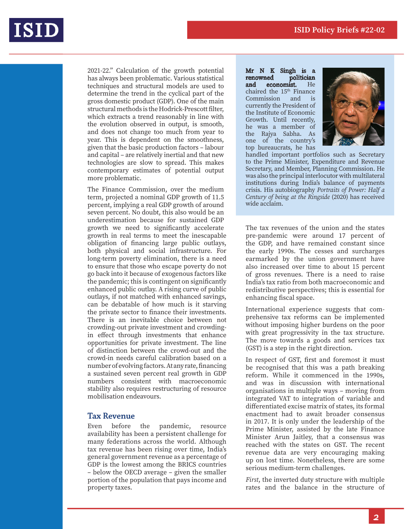

2021-22." Calculation of the growth potential has always been problematic. Various statistical techniques and structural models are used to determine the trend in the cyclical part of the gross domestic product (GDP). One of the main structural methods is the Hodrick-Prescott filter, which extracts a trend reasonably in line with the evolution observed in output, is smooth, and does not change too much from year to year. This is dependent on the smoothness, given that the basic production factors – labour and capital – are relatively inertial and that new technologies are slow to spread. This makes contemporary estimates of potential output more problematic.

The Finance Commission, over the medium term, projected a nominal GDP growth of 11.5 percent, implying a real GDP growth of around seven percent. No doubt, this also would be an underestimation because for sustained GDP growth we need to significantly accelerate growth in real terms to meet the inescapable obligation of financing large public outlays, both physical and social infrastructure. For long-term poverty elimination, there is a need to ensure that those who escape poverty do not go back into it because of exogenous factors like the pandemic; this is contingent on significantly enhanced public outlay. A rising curve of public outlays, if not matched with enhanced savings, can be debatable of how much is it starving the private sector to finance their investments. There is an inevitable choice between not crowding-out private investment and crowdingin effect through investments that enhance opportunities for private investment. The line of distinction between the crowd-out and the crowd-in needs careful calibration based on a number of evolving factors. At any rate, financing a sustained seven percent real growth in GDP numbers consistent with macroeconomic stability also requires restructuring of resource mobilisation endeavours.

# **Tax Revenue**

Even before the pandemic, resource availability has been a persistent challenge for many federations across the world. Although tax revenue has been rising over time, India's general government revenue as a percentage of GDP is the lowest among the BRICS countries – below the OECD average – given the smaller portion of the population that pays income and property taxes.

Mr N K Singh is a<br>renowned politician renowned politician<br>and economist. He economist. chaired the 15<sup>th</sup> Finance<br>Commission and is Commission and currently the President of the Institute of Economic Growth. Until recently, he was a member of the Rajya Sabha. As one of the country's top bureaucrats, he has



handled important portfolios such as Secretary to the Prime Minister, Expenditure and Revenue Secretary, and Member, Planning Commission. He was also the principal interlocutor with multilateral institutions during India's balance of payments crisis. His autobiography *Portraits of Power: Half a Century of being at the Ringside* (2020) has received wide acclaim.

The tax revenues of the union and the states pre-pandemic were around 17 percent of the GDP, and have remained constant since the early 1990s. The cesses and surcharges earmarked by the union government have also increased over time to about 15 percent of gross revenues. There is a need to raise India's tax ratio from both macroeconomic and redistributive perspectives; this is essential for enhancing fiscal space.

International experience suggests that comprehensive tax reforms can be implemented without imposing higher burdens on the poor with great progressivity in the tax structure. The move towards a goods and services tax (GST) is a step in the right direction.

In respect of GST, first and foremost it must be recognised that this was a path breaking reform. While it commenced in the 1990s, and was in discussion with international organisations in multiple ways – moving from integrated VAT to integration of variable and differentiated excise matrix of states, its formal enactment had to await broader consensus in 2017. It is only under the leadership of the Prime Minister, assisted by the late Finance Minister Arun Jaitley, that a consensus was reached with the states on GST. The recent revenue data are very encouraging making up on lost time. Nonetheless, there are some serious medium-term challenges.

*First*, the inverted duty structure with multiple rates and the balance in the structure of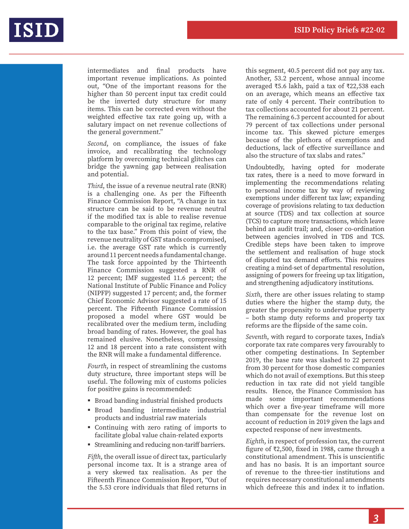

intermediates and final products have important revenue implications. As pointed out, "One of the important reasons for the higher than 50 percent input tax credit could be the inverted duty structure for many items. This can be corrected even without the weighted effective tax rate going up, with a salutary impact on net revenue collections of the general government."

*Second*, on compliance, the issues of fake invoice, and recalibrating the technology platform by overcoming technical glitches can bridge the yawning gap between realisation and potential.

*Third*, the issue of a revenue neutral rate (RNR) is a challenging one. As per the Fifteenth Finance Commission Report, "A change in tax structure can be said to be revenue neutral if the modified tax is able to realise revenue comparable to the original tax regime, relative to the tax base." From this point of view, the revenue neutrality of GST stands compromised, i.e. the average GST rate which is currently around 11 percent needs a fundamental change. The task force appointed by the Thirteenth Finance Commission suggested a RNR of 12 percent; IMF suggested 11.6 percent; the National Institute of Public Finance and Policy (NIPFP) suggested 17 percent; and, the former Chief Economic Advisor suggested a rate of 15 percent. The Fifteenth Finance Commission proposed a model where GST would be recalibrated over the medium term, including broad banding of rates. However, the goal has remained elusive. Nonetheless, compressing 12 and 18 percent into a rate consistent with the RNR will make a fundamental difference.

*Fourth*, in respect of streamlining the customs duty structure, three important steps will be useful. The following mix of customs policies for positive gains is recommended:

- **Broad banding industrial finished products**
- Broad banding intermediate industrial products and industrial raw materials
- Continuing with zero rating of imports to facilitate global value chain-related exports
- Streamlining and reducing non-tariff barriers.

*Fifth*, the overall issue of direct tax, particularly personal income tax. It is a strange area of a very skewed tax realisation. As per the Fifteenth Finance Commission Report, "Out of the 5.53 crore individuals that filed returns in

this segment, 40.5 percent did not pay any tax. Another, 53.2 percent, whose annual income averaged ₹5.6 lakh, paid a tax of ₹22,538 each on an average, which means an effective tax rate of only 4 percent. Their contribution to tax collections accounted for about 21 percent. The remaining 6.3 percent accounted for about 79 percent of tax collections under personal income tax. This skewed picture emerges because of the plethora of exemptions and deductions, lack of effective surveillance and also the structure of tax slabs and rates."

Undoubtedly, having opted for moderate tax rates, there is a need to move forward in implementing the recommendations relating to personal income tax by way of reviewing exemptions under different tax law; expanding coverage of provisions relating to tax deduction at source (TDS) and tax collection at source (TCS) to capture more transactions, which leave behind an audit trail; and, closer co-ordination between agencies involved in TDS and TCS. Credible steps have been taken to improve the settlement and realisation of huge stock of disputed tax demand efforts. This requires creating a mind-set of departmental resolution, assigning of powers for freeing up tax litigation, and strengthening adjudicatory institutions.

*Sixth*, there are other issues relating to stamp duties where the higher the stamp duty, the greater the propensity to undervalue property – both stamp duty reforms and property tax reforms are the flipside of the same coin.

*Seventh*, with regard to corporate taxes, India's corporate tax rate compares very favourably to other competing destinations. In September 2019, the base rate was slashed to 22 percent from 30 percent for those domestic companies which do not avail of exemptions. But this steep reduction in tax rate did not yield tangible results. Hence, the Finance Commission has made some important recommendations which over a five-year timeframe will more than compensate for the revenue lost on account of reduction in 2019 given the lags and expected response of new investments.

*Eighth*, in respect of profession tax, the current figure of ₹2,500, fixed in 1988, came through a constitutional amendment. This is unscientific and has no basis. It is an important source of revenue to the three-tier institutions and requires necessary constitutional amendments which defreeze this and index it to inflation.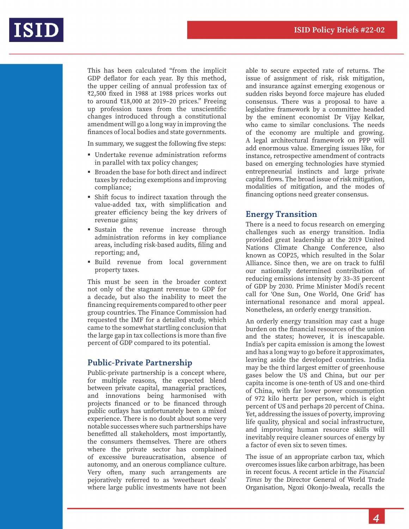

This has been calculated "from the implicit GDP deflator for each year. By this method, the upper ceiling of annual profession tax of ₹2,500 fixed in 1988 at 1988 prices works out to around ₹18,000 at 2019–20 prices." Freeing up profession taxes from the unscientific changes introduced through a constitutional amendment will go a long way in improving the finances of local bodies and state governments.

In summary, we suggest the following five steps:

- Undertake revenue administration reforms in parallel with tax policy changes;
- Broaden the base for both direct and indirect taxes by reducing exemptions and improving compliance;
- Shift focus to indirect taxation through the value-added tax, with simplification and greater efficiency being the key drivers of revenue gains;
- **Sustain** the revenue increase through administration reforms in key compliance areas, including risk-based audits, filing and reporting; and,
- Build revenue from local government property taxes.

This must be seen in the broader context not only of the stagnant revenue to GDP for a decade, but also the inability to meet the financing requirements compared to other peer group countries. The Finance Commission had requested the IMF for a detailed study, which came to the somewhat startling conclusion that the large gap in tax collections is more than five percent of GDP compared to its potential.

#### **Public-Private Partnership**

Public-private partnership is a concept where, for multiple reasons, the expected blend between private capital, managerial practices, and innovations being harmonised with projects financed or to be financed through public outlays has unfortunately been a mixed experience. There is no doubt about some very notable successes where such partnerships have benefitted all stakeholders, most importantly, the consumers themselves. There are others where the private sector has complained of excessive bureaucratisation, absence of autonomy, and an onerous compliance culture. Very often, many such arrangements are pejoratively referred to as 'sweetheart deals' where large public investments have not been

able to secure expected rate of returns. The issue of assignment of risk, risk mitigation, and insurance against emerging exogenous or sudden risks beyond force majeure has eluded consensus. There was a proposal to have a legislative framework by a committee headed by the eminent economist Dr Vijay Kelkar, who came to similar conclusions. The needs of the economy are multiple and growing. A legal architectural framework on PPP will add enormous value. Emerging issues like, for instance, retrospective amendment of contracts based on emerging technologies have stymied entrepreneurial instincts and large private capital flows. The broad issue of risk mitigation, modalities of mitigation, and the modes of financing options need greater consensus.

# **Energy Transition**

There is a need to focus research on emerging challenges such as energy transition. India provided great leadership at the 2019 United Nations Climate Change Conference, also known as COP25, which resulted in the Solar Alliance. Since then, we are on track to fulfil our nationally determined contribution of reducing emissions intensity by 33–35 percent of GDP by 2030. Prime Minister Modi's recent call for 'One Sun, One World, One Grid' has international resonance and moral appeal. Nonetheless, an orderly energy transition.

An orderly energy transition may cast a huge burden on the financial resources of the union and the states; however, it is inescapable. India's per capita emission is among the lowest and has a long way to go before it approximates, leaving aside the developed countries. India may be the third largest emitter of greenhouse gases below the US and China, but our per capita income is one-tenth of US and one-third of China, with far lower power consumption of 972 kilo hertz per person, which is eight percent of US and perhaps 20 percent of China. Yet, addressing the issues of poverty, improving life quality, physical and social infrastructure, and improving human resource skills will inevitably require cleaner sources of energy by a factor of even six to seven times.

The issue of an appropriate carbon tax, which overcomes issues like carbon arbitrage, has been in recent focus. A recent article in the *Financial Times* by the Director General of World Trade Organisation, Ngozi Okonjo-Iweala, recalls the